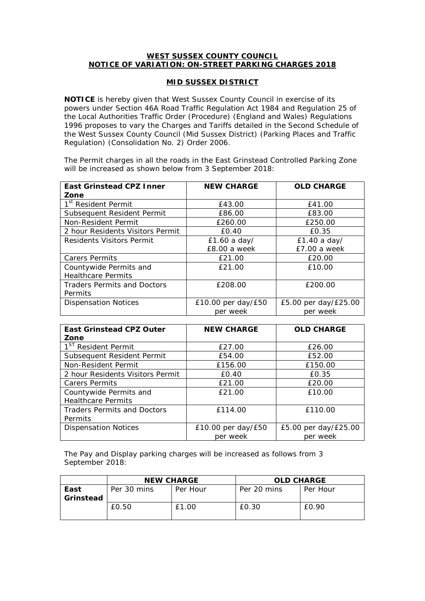## **WEST SUSSEX COUNTY COUNCIL NOTICE OF VARIATION: ON-STREET PARKING CHARGES 2018**

## **MID SUSSEX DISTRICT**

**NOTICE** is hereby given that West Sussex County Council in exercise of its powers under Section 46A Road Traffic Regulation Act 1984 and Regulation 25 of the Local Authorities Traffic Order (Procedure) (England and Wales) Regulations 1996 proposes to vary the Charges and Tariffs detailed in the Second Schedule of the West Sussex County Council (Mid Sussex District) (Parking Places and Traffic Regulation) (Consolidation No. 2) Order 2006.

The Permit charges in all the roads in the East Grinstead Controlled Parking Zone will be increased as shown below from 3 September 2018:

| <b>East Grinstead CPZ Inner</b>    | <b>NEW CHARGE</b>  | <b>OLD CHARGE</b>    |
|------------------------------------|--------------------|----------------------|
| Zone                               |                    |                      |
| 1 <sup>st</sup> Resident Permit    | £43.00             | £41.00               |
| Subsequent Resident Permit         | £86.00             | £83.00               |
| Non-Resident Permit                | £260.00            | £250.00              |
| 2 hour Residents Visitors Permit   | £0.40              | £0.35                |
| Residents Visitors Permit          | £1.60a day/        | £1.40 a day/         |
|                                    | £8.00 a week       | £7.00 a week         |
| <b>Carers Permits</b>              | £21.00             | £20.00               |
| Countywide Permits and             | £21.00             | £10.00               |
| <b>Healthcare Permits</b>          |                    |                      |
| <b>Traders Permits and Doctors</b> | £208.00            | £200.00              |
| Permits                            |                    |                      |
| <b>Dispensation Notices</b>        | £10.00 per day/£50 | £5.00 per day/£25.00 |
|                                    | per week           | per week             |

| <b>East Grinstead CPZ Outer</b>    | <b>NEW CHARGE</b>  | <b>OLD CHARGE</b>    |  |
|------------------------------------|--------------------|----------------------|--|
| Zone                               |                    |                      |  |
| 1 <sup>ST</sup> Resident Permit    | £27.00             | £26.00               |  |
| Subsequent Resident Permit         | £52.00<br>£54.00   |                      |  |
| Non-Resident Permit                | £156.00            | £150.00              |  |
| 2 hour Residents Visitors Permit   | £0.40              | £0.35                |  |
| <b>Carers Permits</b>              | £21.00             | £20.00               |  |
| Countywide Permits and             | £21.00             | £10.00               |  |
| <b>Healthcare Permits</b>          |                    |                      |  |
| <b>Traders Permits and Doctors</b> | £114.00            | £110.00              |  |
| Permits                            |                    |                      |  |
| <b>Dispensation Notices</b>        | £10.00 per day/£50 | £5.00 per day/£25.00 |  |
|                                    | per week           | per week             |  |

The Pay and Display parking charges will be increased as follows from 3 September 2018:

|           | <b>NEW CHARGE</b> |          | <b>OLD CHARGE</b> |          |
|-----------|-------------------|----------|-------------------|----------|
| East      | Per 30 mins       | Per Hour | Per 20 mins       | Per Hour |
| Grinstead |                   |          |                   |          |
|           | £0.50             | £1.00    | £0.30             | £0.90    |
|           |                   |          |                   |          |